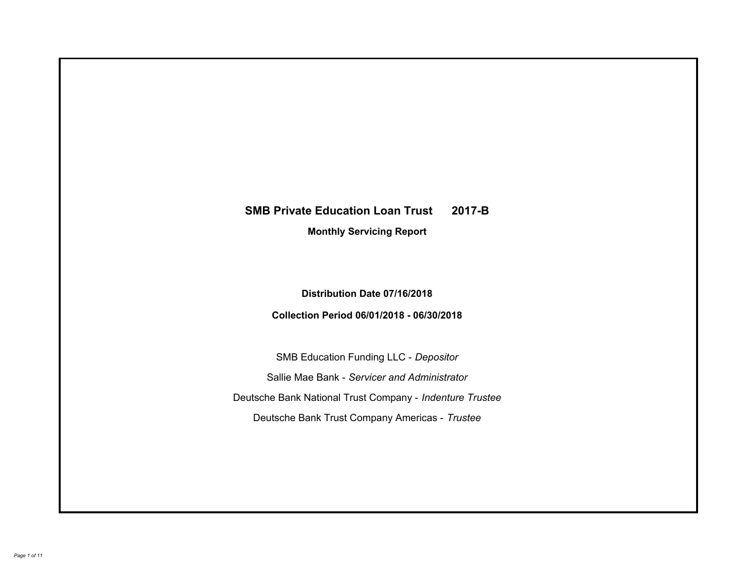# **SMB Private Education Loan Trust 2017-B Monthly Servicing Report**

# **Distribution Date 07/16/2018**

## **Collection Period 06/01/2018 - 06/30/2018**

SMB Education Funding LLC - *Depositor* Sallie Mae Bank - *Servicer and Administrator* Deutsche Bank National Trust Company - *Indenture Trustee* Deutsche Bank Trust Company Americas - *Trustee*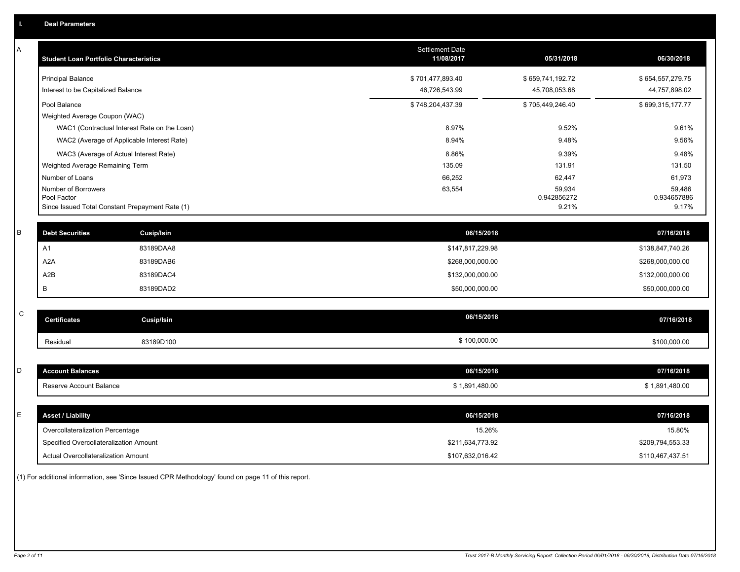| Α           | <b>Student Loan Portfolio Characteristics</b>   |                                              | <b>Settlement Date</b><br>11/08/2017 | 05/31/2018            | 06/30/2018            |
|-------------|-------------------------------------------------|----------------------------------------------|--------------------------------------|-----------------------|-----------------------|
|             | <b>Principal Balance</b>                        |                                              | \$701,477,893.40                     | \$659,741,192.72      | \$654,557,279.75      |
|             | Interest to be Capitalized Balance              |                                              | 46,726,543.99                        | 45,708,053.68         | 44,757,898.02         |
|             | Pool Balance                                    |                                              | \$748,204,437.39                     | \$705,449,246.40      | \$699,315,177.77      |
|             | Weighted Average Coupon (WAC)                   |                                              |                                      |                       |                       |
|             |                                                 | WAC1 (Contractual Interest Rate on the Loan) | 8.97%                                | 9.52%                 | 9.61%                 |
|             | WAC2 (Average of Applicable Interest Rate)      |                                              | 8.94%                                | 9.48%                 | 9.56%                 |
|             | WAC3 (Average of Actual Interest Rate)          |                                              | 8.86%                                | 9.39%                 | 9.48%                 |
|             | Weighted Average Remaining Term                 |                                              | 135.09                               | 131.91                | 131.50                |
|             | Number of Loans                                 |                                              | 66,252                               | 62,447                | 61,973                |
|             | Number of Borrowers<br>Pool Factor              |                                              | 63,554                               | 59,934<br>0.942856272 | 59,486<br>0.934657886 |
|             | Since Issued Total Constant Prepayment Rate (1) |                                              |                                      | 9.21%                 | 9.17%                 |
|             |                                                 |                                              |                                      |                       |                       |
| B           | <b>Debt Securities</b>                          | Cusip/Isin                                   | 06/15/2018                           |                       | 07/16/2018            |
|             | A1                                              | 83189DAA8                                    | \$147,817,229.98                     |                       | \$138,847,740.26      |
|             | A <sub>2</sub> A                                | 83189DAB6                                    | \$268,000,000.00                     |                       | \$268,000,000.00      |
|             | A2B                                             | 83189DAC4                                    | \$132,000,000.00                     |                       | \$132,000,000.00      |
|             | В                                               | 83189DAD2                                    | \$50,000,000.00                      |                       | \$50,000,000.00       |
|             |                                                 |                                              |                                      |                       |                       |
| $\mathsf C$ | <b>Certificates</b>                             | <b>Cusip/Isin</b>                            | 06/15/2018                           |                       | 07/16/2018            |
|             | Residual                                        | 83189D100                                    | \$100,000.00                         |                       | \$100,000.00          |
|             |                                                 |                                              |                                      |                       |                       |
| D           | <b>Account Balances</b>                         |                                              | 06/15/2018                           |                       | 07/16/2018            |
|             | Reserve Account Balance                         |                                              | \$1,891,480.00                       |                       | \$1,891,480.00        |
|             |                                                 |                                              |                                      |                       |                       |
| E           | <b>Asset / Liability</b>                        |                                              | 06/15/2018                           |                       | 07/16/2018            |
|             | Overcollateralization Percentage                |                                              | 15.26%                               |                       | 15.80%                |
|             | Specified Overcollateralization Amount          |                                              | \$211,634,773.92                     |                       | \$209,794,553.33      |
|             | Actual Overcollateralization Amount             |                                              | \$107,632,016.42                     |                       | \$110,467,437.51      |

(1) For additional information, see 'Since Issued CPR Methodology' found on page 11 of this report.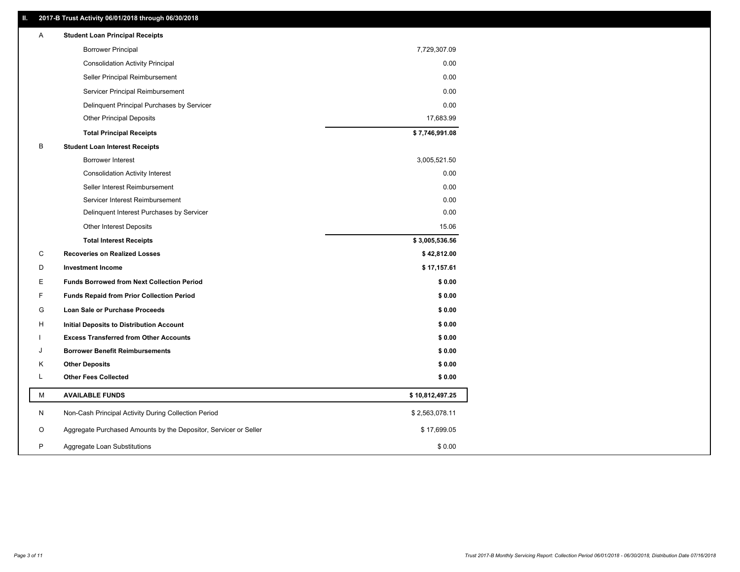### **II. 2017-B Trust Activity 06/01/2018 through 06/30/2018**

| Α | <b>Student Loan Principal Receipts</b>                           |                 |  |
|---|------------------------------------------------------------------|-----------------|--|
|   | <b>Borrower Principal</b>                                        | 7,729,307.09    |  |
|   | <b>Consolidation Activity Principal</b>                          | 0.00            |  |
|   | Seller Principal Reimbursement                                   | 0.00            |  |
|   | Servicer Principal Reimbursement                                 | 0.00            |  |
|   | Delinquent Principal Purchases by Servicer                       | 0.00            |  |
|   | <b>Other Principal Deposits</b>                                  | 17,683.99       |  |
|   | <b>Total Principal Receipts</b>                                  | \$7,746,991.08  |  |
| В | <b>Student Loan Interest Receipts</b>                            |                 |  |
|   | <b>Borrower Interest</b>                                         | 3,005,521.50    |  |
|   | <b>Consolidation Activity Interest</b>                           | 0.00            |  |
|   | Seller Interest Reimbursement                                    | 0.00            |  |
|   | Servicer Interest Reimbursement                                  | 0.00            |  |
|   | Delinquent Interest Purchases by Servicer                        | 0.00            |  |
|   | Other Interest Deposits                                          | 15.06           |  |
|   | <b>Total Interest Receipts</b>                                   | \$3,005,536.56  |  |
| C | <b>Recoveries on Realized Losses</b>                             | \$42,812.00     |  |
| D | <b>Investment Income</b>                                         | \$17,157.61     |  |
| Е | <b>Funds Borrowed from Next Collection Period</b>                | \$0.00          |  |
| F | <b>Funds Repaid from Prior Collection Period</b>                 | \$0.00          |  |
| G | Loan Sale or Purchase Proceeds                                   | \$0.00          |  |
| H | Initial Deposits to Distribution Account                         | \$0.00          |  |
|   | <b>Excess Transferred from Other Accounts</b>                    | \$0.00          |  |
| J | <b>Borrower Benefit Reimbursements</b>                           | \$0.00          |  |
| Κ | <b>Other Deposits</b>                                            | \$0.00          |  |
| L | <b>Other Fees Collected</b>                                      | \$0.00          |  |
| М | <b>AVAILABLE FUNDS</b>                                           | \$10,812,497.25 |  |
| N | Non-Cash Principal Activity During Collection Period             | \$2,563,078.11  |  |
| O | Aggregate Purchased Amounts by the Depositor, Servicer or Seller | \$17,699.05     |  |
| P | Aggregate Loan Substitutions                                     | \$0.00          |  |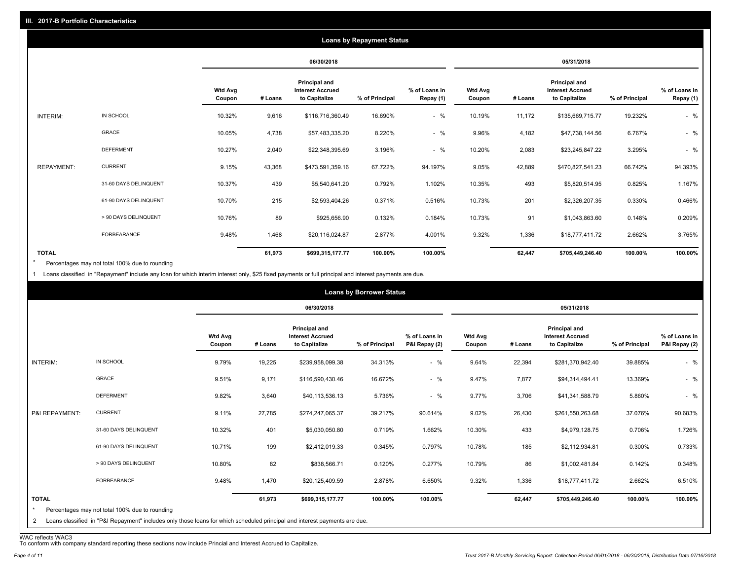|                   |                       |                          |         |                                                           | <b>Loans by Repayment Status</b> |                            |                          |         |                                                           |                |                            |
|-------------------|-----------------------|--------------------------|---------|-----------------------------------------------------------|----------------------------------|----------------------------|--------------------------|---------|-----------------------------------------------------------|----------------|----------------------------|
|                   |                       |                          |         | 06/30/2018                                                |                                  |                            |                          |         | 05/31/2018                                                |                |                            |
|                   |                       | <b>Wtd Avg</b><br>Coupon | # Loans | Principal and<br><b>Interest Accrued</b><br>to Capitalize | % of Principal                   | % of Loans in<br>Repay (1) | <b>Wtd Avg</b><br>Coupon | # Loans | Principal and<br><b>Interest Accrued</b><br>to Capitalize | % of Principal | % of Loans in<br>Repay (1) |
| INTERIM:          | IN SCHOOL             | 10.32%                   | 9,616   | \$116,716,360.49                                          | 16.690%                          | $-$ %                      | 10.19%                   | 11,172  | \$135,669,715.77                                          | 19.232%        | $-$ %                      |
|                   | GRACE                 | 10.05%                   | 4,738   | \$57,483,335.20                                           | 8.220%                           | $-$ %                      | 9.96%                    | 4,182   | \$47,738,144.56                                           | 6.767%         | $-$ %                      |
|                   | <b>DEFERMENT</b>      | 10.27%                   | 2,040   | \$22,348,395.69                                           | 3.196%                           | $-$ %                      | 10.20%                   | 2,083   | \$23,245,847.22                                           | 3.295%         | $-$ %                      |
| <b>REPAYMENT:</b> | <b>CURRENT</b>        | 9.15%                    | 43,368  | \$473,591,359.16                                          | 67.722%                          | 94.197%                    | 9.05%                    | 42,889  | \$470,827,541.23                                          | 66.742%        | 94.393%                    |
|                   | 31-60 DAYS DELINQUENT | 10.37%                   | 439     | \$5,540,641.20                                            | 0.792%                           | 1.102%                     | 10.35%                   | 493     | \$5,820,514.95                                            | 0.825%         | 1.167%                     |
|                   | 61-90 DAYS DELINQUENT | 10.70%                   | 215     | \$2,593,404.26                                            | 0.371%                           | 0.516%                     | 10.73%                   | 201     | \$2,326,207.35                                            | 0.330%         | 0.466%                     |
|                   | > 90 DAYS DELINQUENT  | 10.76%                   | 89      | \$925,656.90                                              | 0.132%                           | 0.184%                     | 10.73%                   | 91      | \$1,043,863.60                                            | 0.148%         | 0.209%                     |
|                   | FORBEARANCE           | 9.48%                    | 1,468   | \$20,116,024.87                                           | 2.877%                           | 4.001%                     | 9.32%                    | 1,336   | \$18,777,411.72                                           | 2.662%         | 3.765%                     |
| <b>TOTAL</b>      |                       |                          | 61,973  | \$699,315,177.77                                          | 100.00%                          | 100.00%                    |                          | 62,447  | \$705,449,246.40                                          | 100.00%        | 100.00%                    |

Percentages may not total 100% due to rounding \*

1 Loans classified in "Repayment" include any loan for which interim interest only, \$25 fixed payments or full principal and interest payments are due.

|                         |                                                                                                                            |                          |         |                                                           | <b>Loans by Borrower Status</b> |                                |                          |         |                                                           |                |                                |
|-------------------------|----------------------------------------------------------------------------------------------------------------------------|--------------------------|---------|-----------------------------------------------------------|---------------------------------|--------------------------------|--------------------------|---------|-----------------------------------------------------------|----------------|--------------------------------|
|                         |                                                                                                                            |                          |         | 06/30/2018                                                |                                 |                                |                          |         | 05/31/2018                                                |                |                                |
|                         |                                                                                                                            | <b>Wtd Avg</b><br>Coupon | # Loans | Principal and<br><b>Interest Accrued</b><br>to Capitalize | % of Principal                  | % of Loans in<br>P&I Repay (2) | <b>Wtd Avg</b><br>Coupon | # Loans | Principal and<br><b>Interest Accrued</b><br>to Capitalize | % of Principal | % of Loans in<br>P&I Repay (2) |
| INTERIM:                | IN SCHOOL                                                                                                                  | 9.79%                    | 19,225  | \$239,958,099.38                                          | 34.313%                         | $-$ %                          | 9.64%                    | 22,394  | \$281,370,942.40                                          | 39.885%        | $-$ %                          |
|                         | GRACE                                                                                                                      | 9.51%                    | 9,171   | \$116,590,430.46                                          | 16.672%                         | $-$ %                          | 9.47%                    | 7,877   | \$94,314,494.41                                           | 13.369%        | $-$ %                          |
|                         | <b>DEFERMENT</b>                                                                                                           | 9.82%                    | 3,640   | \$40,113,536.13                                           | 5.736%                          | $-$ %                          | 9.77%                    | 3,706   | \$41,341,588.79                                           | 5.860%         | $-$ %                          |
| P&I REPAYMENT:          | <b>CURRENT</b>                                                                                                             | 9.11%                    | 27,785  | \$274,247,065.37                                          | 39.217%                         | 90.614%                        | 9.02%                    | 26,430  | \$261,550,263.68                                          | 37.076%        | 90.683%                        |
|                         | 31-60 DAYS DELINQUENT                                                                                                      | 10.32%                   | 401     | \$5,030,050.80                                            | 0.719%                          | 1.662%                         | 10.30%                   | 433     | \$4,979,128.75                                            | 0.706%         | 1.726%                         |
|                         | 61-90 DAYS DELINQUENT                                                                                                      | 10.71%                   | 199     | \$2,412,019.33                                            | 0.345%                          | 0.797%                         | 10.78%                   | 185     | \$2,112,934.81                                            | 0.300%         | 0.733%                         |
|                         | > 90 DAYS DELINQUENT                                                                                                       | 10.80%                   | 82      | \$838,566.71                                              | 0.120%                          | 0.277%                         | 10.79%                   | 86      | \$1,002,481.84                                            | 0.142%         | 0.348%                         |
|                         | <b>FORBEARANCE</b>                                                                                                         | 9.48%                    | 1,470   | \$20,125,409.59                                           | 2.878%                          | 6.650%                         | 9.32%                    | 1,336   | \$18,777,411.72                                           | 2.662%         | 6.510%                         |
| <b>TOTAL</b><br>$\star$ | Percentages may not total 100% due to rounding                                                                             |                          | 61,973  | \$699,315,177.77                                          | 100.00%                         | 100.00%                        |                          | 62,447  | \$705,449,246.40                                          | 100.00%        | 100.00%                        |
| 2                       | Loans classified in "P&I Repayment" includes only those loans for which scheduled principal and interest payments are due. |                          |         |                                                           |                                 |                                |                          |         |                                                           |                |                                |

WAC reflects WAC3 To conform with company standard reporting these sections now include Princial and Interest Accrued to Capitalize.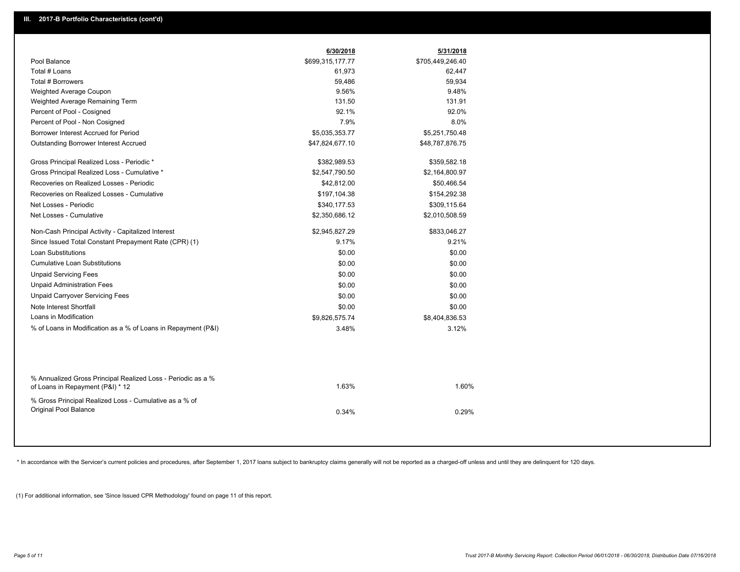|                                                                                                  | 6/30/2018        | 5/31/2018        |  |
|--------------------------------------------------------------------------------------------------|------------------|------------------|--|
| Pool Balance                                                                                     | \$699,315,177.77 | \$705,449,246.40 |  |
| Total # Loans                                                                                    | 61,973           | 62,447           |  |
| Total # Borrowers                                                                                | 59,486           | 59,934           |  |
| Weighted Average Coupon                                                                          | 9.56%            | 9.48%            |  |
| Weighted Average Remaining Term                                                                  | 131.50           | 131.91           |  |
| Percent of Pool - Cosigned                                                                       | 92.1%            | 92.0%            |  |
| Percent of Pool - Non Cosigned                                                                   | 7.9%             | 8.0%             |  |
| Borrower Interest Accrued for Period                                                             | \$5,035,353.77   | \$5,251,750.48   |  |
| <b>Outstanding Borrower Interest Accrued</b>                                                     | \$47,824,677.10  | \$48,787,876.75  |  |
| Gross Principal Realized Loss - Periodic *                                                       | \$382,989.53     | \$359,582.18     |  |
| Gross Principal Realized Loss - Cumulative *                                                     | \$2,547,790.50   | \$2,164,800.97   |  |
| Recoveries on Realized Losses - Periodic                                                         | \$42,812.00      | \$50,466.54      |  |
| Recoveries on Realized Losses - Cumulative                                                       | \$197,104.38     | \$154,292.38     |  |
| Net Losses - Periodic                                                                            | \$340,177.53     | \$309,115.64     |  |
| Net Losses - Cumulative                                                                          | \$2,350,686.12   | \$2,010,508.59   |  |
| Non-Cash Principal Activity - Capitalized Interest                                               | \$2,945,827.29   | \$833,046.27     |  |
| Since Issued Total Constant Prepayment Rate (CPR) (1)                                            | 9.17%            | 9.21%            |  |
| <b>Loan Substitutions</b>                                                                        | \$0.00           | \$0.00           |  |
| <b>Cumulative Loan Substitutions</b>                                                             | \$0.00           | \$0.00           |  |
| <b>Unpaid Servicing Fees</b>                                                                     | \$0.00           | \$0.00           |  |
| <b>Unpaid Administration Fees</b>                                                                | \$0.00           | \$0.00           |  |
| <b>Unpaid Carryover Servicing Fees</b>                                                           | \$0.00           | \$0.00           |  |
| Note Interest Shortfall                                                                          | \$0.00           | \$0.00           |  |
| Loans in Modification                                                                            | \$9,826,575.74   | \$8,404,836.53   |  |
| % of Loans in Modification as a % of Loans in Repayment (P&I)                                    | 3.48%            | 3.12%            |  |
|                                                                                                  |                  |                  |  |
| % Annualized Gross Principal Realized Loss - Periodic as a %<br>of Loans in Repayment (P&I) * 12 | 1.63%            | 1.60%            |  |
| % Gross Principal Realized Loss - Cumulative as a % of<br>Original Pool Balance                  | 0.34%            | 0.29%            |  |

\* In accordance with the Servicer's current policies and procedures, after September 1, 2017 loans subject to bankruptcy claims generally will not be reported as a charged-off unless and until they are delinquent for 120 d

(1) For additional information, see 'Since Issued CPR Methodology' found on page 11 of this report.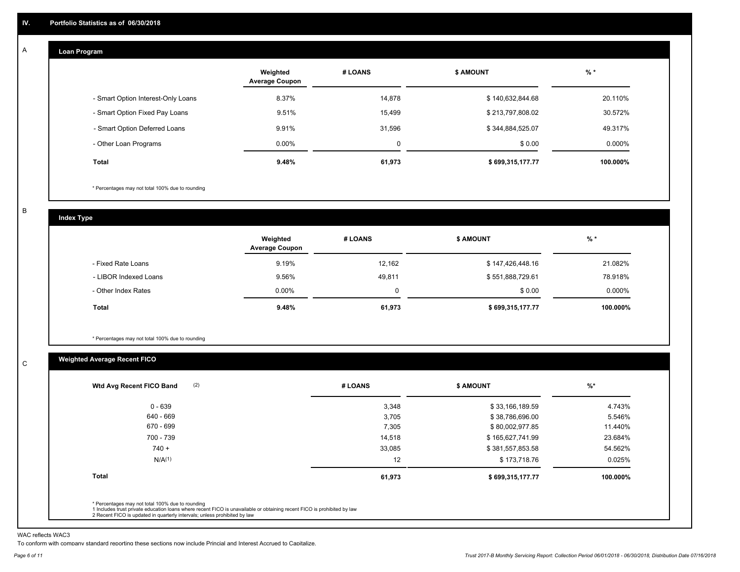#### **Loan Program**  A

|                                    | Weighted<br><b>Average Coupon</b> | # LOANS     | <b>\$ AMOUNT</b> | $%$ *     |
|------------------------------------|-----------------------------------|-------------|------------------|-----------|
| - Smart Option Interest-Only Loans | 8.37%                             | 14,878      | \$140,632,844.68 | 20.110%   |
| - Smart Option Fixed Pay Loans     | 9.51%                             | 15.499      | \$213,797,808.02 | 30.572%   |
| - Smart Option Deferred Loans      | 9.91%                             | 31.596      | \$344,884,525.07 | 49.317%   |
| - Other Loan Programs              | $0.00\%$                          | $\mathbf 0$ | \$0.00           | $0.000\%$ |
| Total                              | 9.48%                             | 61,973      | \$699,315,177.77 | 100.000%  |

\* Percentages may not total 100% due to rounding

B

C

**Index Type**

|                       | Weighted<br><b>Average Coupon</b> | # LOANS | <b>\$ AMOUNT</b> | % *       |
|-----------------------|-----------------------------------|---------|------------------|-----------|
| - Fixed Rate Loans    | 9.19%                             | 12,162  | \$147,426,448.16 | 21.082%   |
| - LIBOR Indexed Loans | 9.56%                             | 49,811  | \$551,888,729.61 | 78.918%   |
| - Other Index Rates   | $0.00\%$                          |         | \$0.00           | $0.000\%$ |
| Total                 | 9.48%                             | 61,973  | \$699,315,177.77 | 100.000%  |

\* Percentages may not total 100% due to rounding

### **Weighted Average Recent FICO**

| # LOANS |        | <b>\$ AMOUNT</b> |                  | $\frac{9}{6}$ *  |
|---------|--------|------------------|------------------|------------------|
|         | 3,348  |                  | \$33,166,189.59  | 4.743%           |
|         | 3,705  |                  | \$38,786,696.00  | 5.546%           |
|         | 7,305  |                  | \$80,002,977.85  | 11.440%          |
|         | 14,518 |                  | \$165,627,741.99 | 23.684%          |
|         | 33,085 |                  | \$381,557,853.58 | 54.562%          |
|         | 12     |                  | \$173,718.76     | 0.025%           |
|         | 61,973 |                  |                  | 100.000%         |
|         |        |                  |                  | \$699,315,177.77 |

WAC reflects WAC3

To conform with company standard reporting these sections now include Princial and Interest Accrued to Capitalize.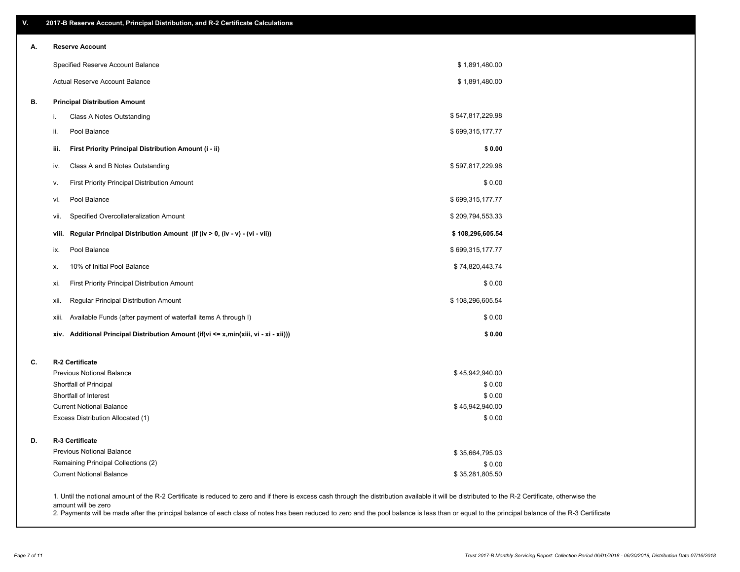| ۷. | 2017-B Reserve Account, Principal Distribution, and R-2 Certificate Calculations     |                                                                                                                                                                                                    |  |
|----|--------------------------------------------------------------------------------------|----------------------------------------------------------------------------------------------------------------------------------------------------------------------------------------------------|--|
| А. | <b>Reserve Account</b>                                                               |                                                                                                                                                                                                    |  |
|    | Specified Reserve Account Balance                                                    | \$1,891,480.00                                                                                                                                                                                     |  |
|    | <b>Actual Reserve Account Balance</b>                                                | \$1,891,480.00                                                                                                                                                                                     |  |
| В. | <b>Principal Distribution Amount</b>                                                 |                                                                                                                                                                                                    |  |
|    | Class A Notes Outstanding<br>i.                                                      | \$547,817,229.98                                                                                                                                                                                   |  |
|    | Pool Balance<br>ii.                                                                  | \$699,315,177.77                                                                                                                                                                                   |  |
|    | First Priority Principal Distribution Amount (i - ii)<br>iii.                        | \$0.00                                                                                                                                                                                             |  |
|    | Class A and B Notes Outstanding<br>iv.                                               | \$597,817,229.98                                                                                                                                                                                   |  |
|    | First Priority Principal Distribution Amount<br>v.                                   | \$0.00                                                                                                                                                                                             |  |
|    | Pool Balance<br>vi.                                                                  | \$699,315,177.77                                                                                                                                                                                   |  |
|    | Specified Overcollateralization Amount<br>vii.                                       | \$209,794,553.33                                                                                                                                                                                   |  |
|    | Regular Principal Distribution Amount (if (iv > 0, (iv - v) - (vi - vii))<br>viii.   | \$108,296,605.54                                                                                                                                                                                   |  |
|    | Pool Balance<br>ix.                                                                  | \$699,315,177.77                                                                                                                                                                                   |  |
|    | 10% of Initial Pool Balance<br>х.                                                    | \$74,820,443.74                                                                                                                                                                                    |  |
|    | First Priority Principal Distribution Amount<br>xi.                                  | \$0.00                                                                                                                                                                                             |  |
|    | Regular Principal Distribution Amount<br>xii.                                        | \$108,296,605.54                                                                                                                                                                                   |  |
|    | Available Funds (after payment of waterfall items A through I)<br>xiii.              | \$0.00                                                                                                                                                                                             |  |
|    | xiv. Additional Principal Distribution Amount (if(vi <= x,min(xiii, vi - xi - xii))) | \$0.00                                                                                                                                                                                             |  |
| C. | R-2 Certificate                                                                      |                                                                                                                                                                                                    |  |
|    | <b>Previous Notional Balance</b>                                                     | \$45,942,940.00                                                                                                                                                                                    |  |
|    | Shortfall of Principal                                                               | \$0.00                                                                                                                                                                                             |  |
|    | Shortfall of Interest                                                                | \$0.00                                                                                                                                                                                             |  |
|    | <b>Current Notional Balance</b>                                                      | \$45,942,940.00                                                                                                                                                                                    |  |
|    | Excess Distribution Allocated (1)                                                    | \$0.00                                                                                                                                                                                             |  |
| D. | R-3 Certificate                                                                      |                                                                                                                                                                                                    |  |
|    | <b>Previous Notional Balance</b>                                                     | \$35,664,795.03                                                                                                                                                                                    |  |
|    | Remaining Principal Collections (2)                                                  | \$0.00                                                                                                                                                                                             |  |
|    | <b>Current Notional Balance</b>                                                      | \$35,281,805.50                                                                                                                                                                                    |  |
|    | amount will be zero                                                                  | 1. Until the notional amount of the R-2 Certificate is reduced to zero and if there is excess cash through the distribution available it will be distributed to the R-2 Certificate, otherwise the |  |

2. Payments will be made after the principal balance of each class of notes has been reduced to zero and the pool balance is less than or equal to the principal balance of the R-3 Certificate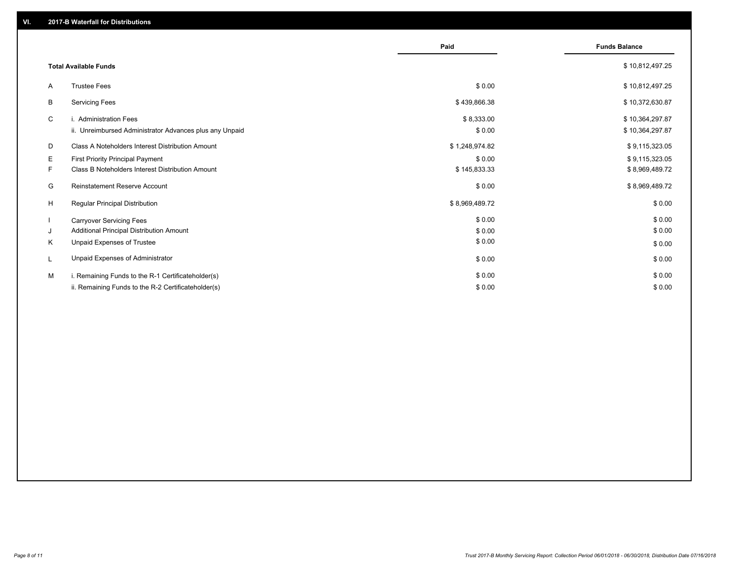|    |                                                         | Paid           | <b>Funds Balance</b> |
|----|---------------------------------------------------------|----------------|----------------------|
|    |                                                         |                |                      |
|    | <b>Total Available Funds</b>                            |                | \$10,812,497.25      |
| A  | <b>Trustee Fees</b>                                     | \$0.00         | \$10,812,497.25      |
| B  | <b>Servicing Fees</b>                                   | \$439,866.38   | \$10,372,630.87      |
| C  | i. Administration Fees                                  | \$8,333.00     | \$10,364,297.87      |
|    | ii. Unreimbursed Administrator Advances plus any Unpaid | \$0.00         | \$10,364,297.87      |
| D  | Class A Noteholders Interest Distribution Amount        | \$1,248,974.82 | \$9,115,323.05       |
| E  | <b>First Priority Principal Payment</b>                 | \$0.00         | \$9,115,323.05       |
| F. | Class B Noteholders Interest Distribution Amount        | \$145,833.33   | \$8,969,489.72       |
| G  | Reinstatement Reserve Account                           | \$0.00         | \$8,969,489.72       |
| H  | Regular Principal Distribution                          | \$8,969,489.72 | \$0.00               |
|    | <b>Carryover Servicing Fees</b>                         | \$0.00         | \$0.00               |
| J  | Additional Principal Distribution Amount                | \$0.00         | \$0.00               |
| K  | Unpaid Expenses of Trustee                              | \$0.00         | \$0.00               |
|    | Unpaid Expenses of Administrator                        | \$0.00         | \$0.00               |
| M  | i. Remaining Funds to the R-1 Certificateholder(s)      | \$0.00         | \$0.00               |
|    | ii. Remaining Funds to the R-2 Certificateholder(s)     | \$0.00         | \$0.00               |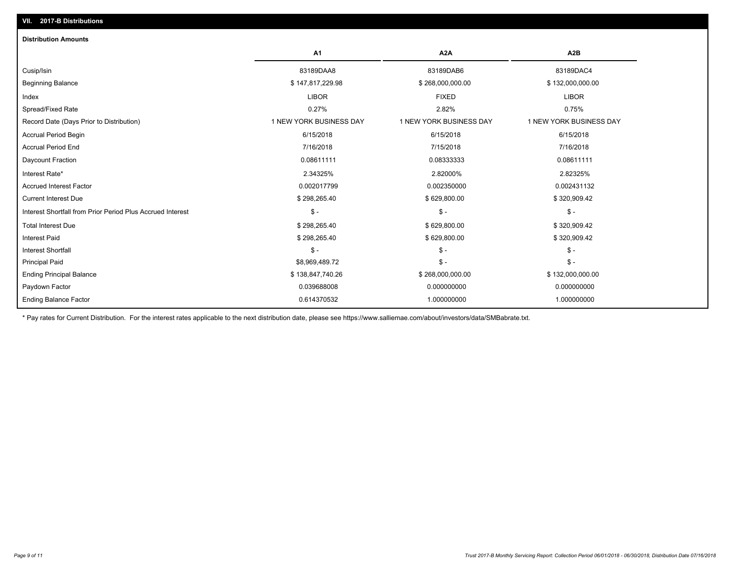| <b>Distribution Amounts</b>                                |                         |                         |                         |
|------------------------------------------------------------|-------------------------|-------------------------|-------------------------|
|                                                            | A1                      | A <sub>2</sub> A        | A <sub>2</sub> B        |
| Cusip/Isin                                                 | 83189DAA8               | 83189DAB6               | 83189DAC4               |
| <b>Beginning Balance</b>                                   | \$147,817,229.98        | \$268,000,000.00        | \$132,000,000.00        |
| Index                                                      | <b>LIBOR</b>            | <b>FIXED</b>            | <b>LIBOR</b>            |
| Spread/Fixed Rate                                          | 0.27%                   | 2.82%                   | 0.75%                   |
| Record Date (Days Prior to Distribution)                   | 1 NEW YORK BUSINESS DAY | 1 NEW YORK BUSINESS DAY | 1 NEW YORK BUSINESS DAY |
| <b>Accrual Period Begin</b>                                | 6/15/2018               | 6/15/2018               | 6/15/2018               |
| <b>Accrual Period End</b>                                  | 7/16/2018               | 7/15/2018               | 7/16/2018               |
| Daycount Fraction                                          | 0.08611111              | 0.08333333              | 0.08611111              |
| Interest Rate*                                             | 2.34325%                | 2.82000%                | 2.82325%                |
| <b>Accrued Interest Factor</b>                             | 0.002017799             | 0.002350000             | 0.002431132             |
| <b>Current Interest Due</b>                                | \$298,265.40            | \$629,800.00            | \$320,909.42            |
| Interest Shortfall from Prior Period Plus Accrued Interest | $\mathsf{\$}$ -         | $S -$                   | $\mathsf{\$}$ -         |
| <b>Total Interest Due</b>                                  | \$298,265.40            | \$629,800.00            | \$320,909.42            |
| <b>Interest Paid</b>                                       | \$298,265.40            | \$629,800.00            | \$320,909.42            |
| <b>Interest Shortfall</b>                                  | $\mathsf{\$}$ -         | $\frac{2}{3}$ -         | $S -$                   |
| <b>Principal Paid</b>                                      | \$8,969,489.72          | $S -$                   | $\mathsf{\$}$ -         |
| <b>Ending Principal Balance</b>                            | \$138,847,740.26        | \$268,000,000.00        | \$132,000,000.00        |
| Paydown Factor                                             | 0.039688008             | 0.000000000             | 0.000000000             |
| <b>Ending Balance Factor</b>                               | 0.614370532             | 1.000000000             | 1.000000000             |

\* Pay rates for Current Distribution. For the interest rates applicable to the next distribution date, please see https://www.salliemae.com/about/investors/data/SMBabrate.txt.

**VII. 2017-B Distributions**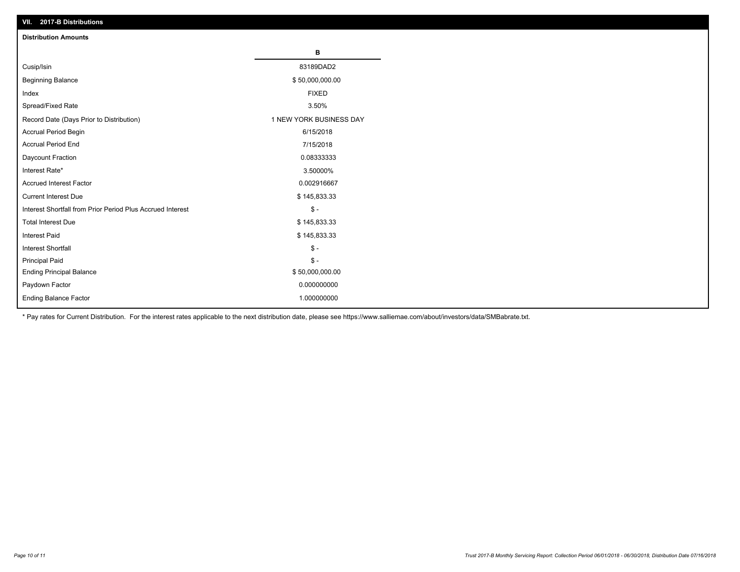| VII. 2017-B Distributions                                  |                         |
|------------------------------------------------------------|-------------------------|
| <b>Distribution Amounts</b>                                |                         |
|                                                            | в                       |
| Cusip/Isin                                                 | 83189DAD2               |
| <b>Beginning Balance</b>                                   | \$50,000,000.00         |
| Index                                                      | <b>FIXED</b>            |
| Spread/Fixed Rate                                          | 3.50%                   |
| Record Date (Days Prior to Distribution)                   | 1 NEW YORK BUSINESS DAY |
| Accrual Period Begin                                       | 6/15/2018               |
| <b>Accrual Period End</b>                                  | 7/15/2018               |
| Daycount Fraction                                          | 0.08333333              |
| Interest Rate*                                             | 3.50000%                |
| <b>Accrued Interest Factor</b>                             | 0.002916667             |
| <b>Current Interest Due</b>                                | \$145,833.33            |
| Interest Shortfall from Prior Period Plus Accrued Interest | $\mathsf{\$}$ -         |
| <b>Total Interest Due</b>                                  | \$145,833.33            |
| <b>Interest Paid</b>                                       | \$145,833.33            |
| <b>Interest Shortfall</b>                                  | $\mathbb{S}$ -          |
| Principal Paid                                             | $\mathbb S$ -           |
| <b>Ending Principal Balance</b>                            | \$50,000,000.00         |
| Paydown Factor                                             | 0.000000000             |
| Ending Balance Factor                                      | 1.000000000             |

\* Pay rates for Current Distribution. For the interest rates applicable to the next distribution date, please see https://www.salliemae.com/about/investors/data/SMBabrate.txt.